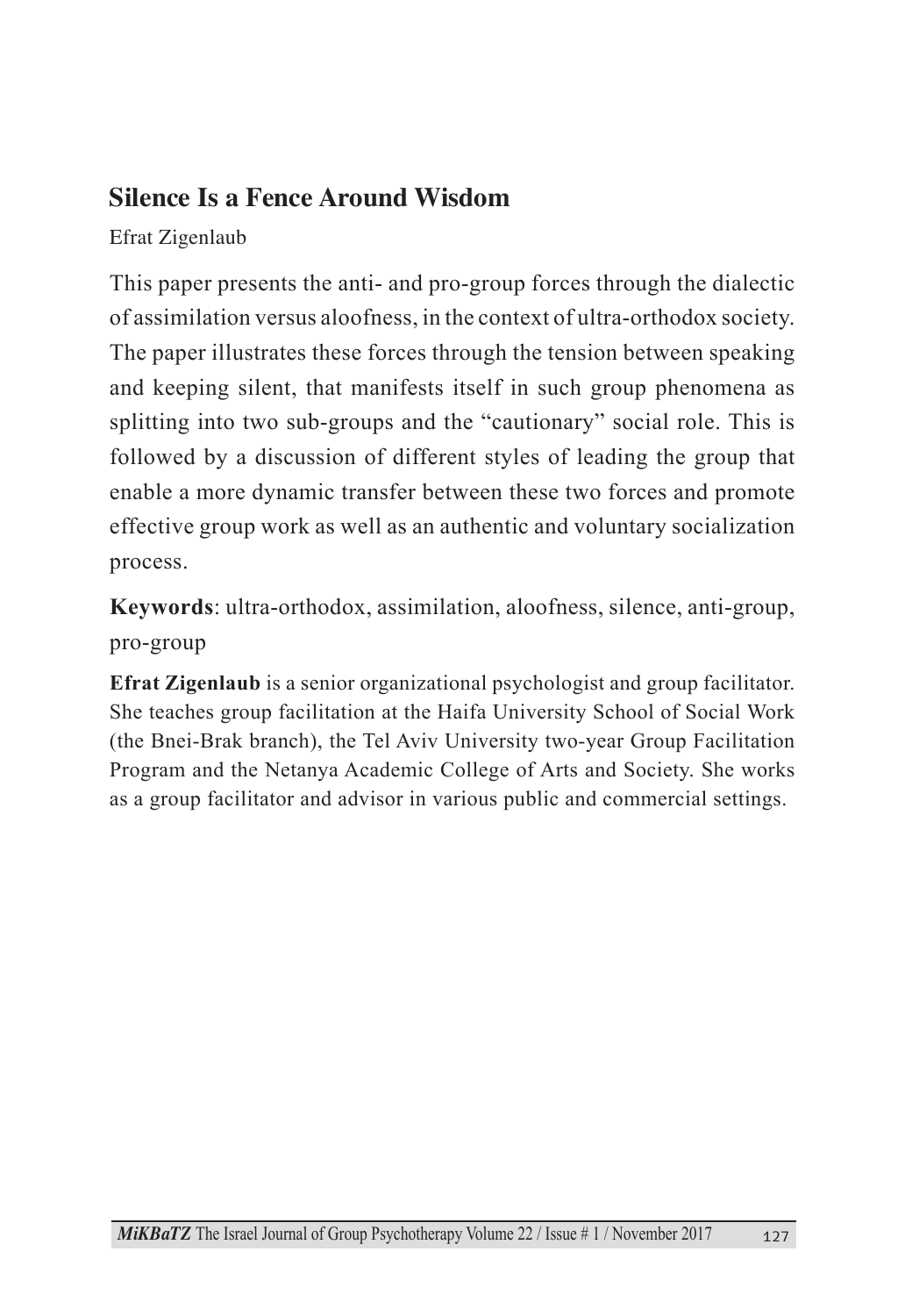## **Silence Is a Fence Around Wisdom**

Efrat Zigenlaub

This paper presents the anti- and pro-group forces through the dialectic of assimilation versus aloofness, in the context of ultra-orthodox society. The paper illustrates these forces through the tension between speaking and keeping silent, that manifests itself in such group phenomena as splitting into two sub-groups and the "cautionary" social role. This is followed by a discussion of different styles of leading the group that enable a more dynamic transfer between these two forces and promote effective group work as well as an authentic and voluntary socialization process.

Keywords: ultra-orthodox, assimilation, aloofness, silence, anti-group, pro-group

**Efrat Zigenlaub** is a senior organizational psychologist and group facilitator. She teaches group facilitation at the Haifa University School of Social Work (the Bnei-Brak branch), the Tel Aviv University two-year Group Facilitation Program and the Netanya Academic College of Arts and Society. She works as a group facilitator and advisor in various public and commercial settings.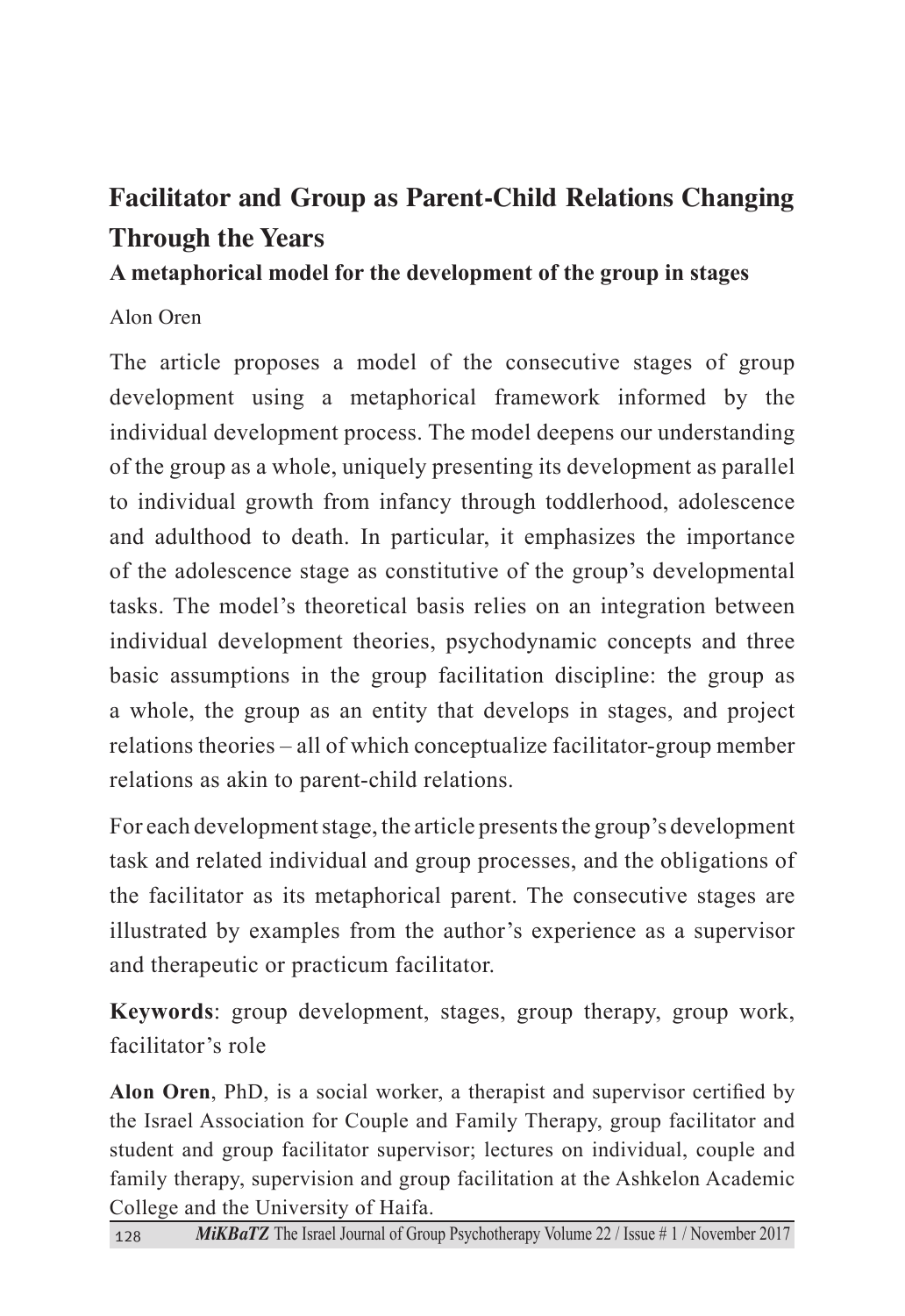# **Facilitator and Group as Parent-Child Relations Changing Through the Years**

#### A metaphorical model for the development of the group in stages

#### Alon Oren

The article proposes a model of the consecutive stages of group development using a metaphorical framework informed by the individual development process. The model deepens our understanding of the group as a whole, uniquely presenting its development as parallel to individual growth from infancy through toddlerhood, adolescence and adulthood to death. In particular, it emphasizes the importance of the adolescence stage as constitutive of the group's developmental tasks. The model's theoretical basis relies on an integration between individual development theories, psychodynamic concepts and three basic assumptions in the group facilitation discipline: the group as a whole, the group as an entity that develops in stages, and project relations theories – all of which conceptualize facilitator-group member relations as akin to parent-child relations.

For each development stage, the article presents the group's development task and related individual and group processes, and the obligations of the facilitator as its metaphorical parent. The consecutive stages are illustrated by examples from the author's experience as a supervisor and therapeutic or practicum facilitator.

Keywords: group development, stages, group therapy, group work, facilitator's role

Alon Oren, PhD, is a social worker, a therapist and supervisor certified by the Israel Association for Couple and Family Therapy, group facilitator and student and group facilitator supervisor; lectures on individual, couple and family therapy, supervision and group facilitation at the Ashkelon Academic College and the University of Haifa.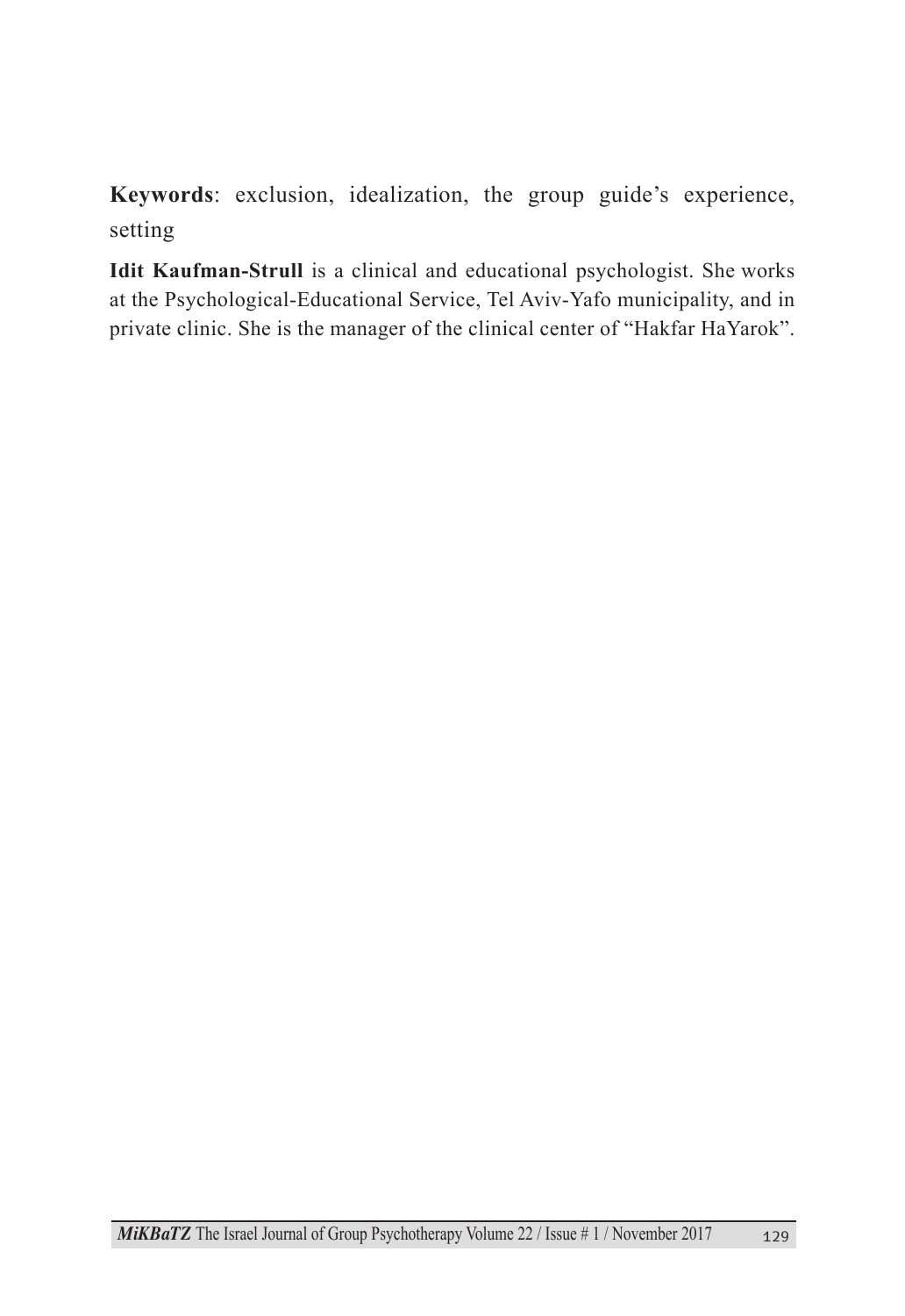Keywords: exclusion, idealization, the group guide's experience, setting

Idit Kaufman-Strull is a clinical and educational psychologist. She works at the Psychological-Educational Service, Tel Aviv-Yafo municipality, and in private clinic. She is the manager of the clinical center of "Hakfar HaYarok".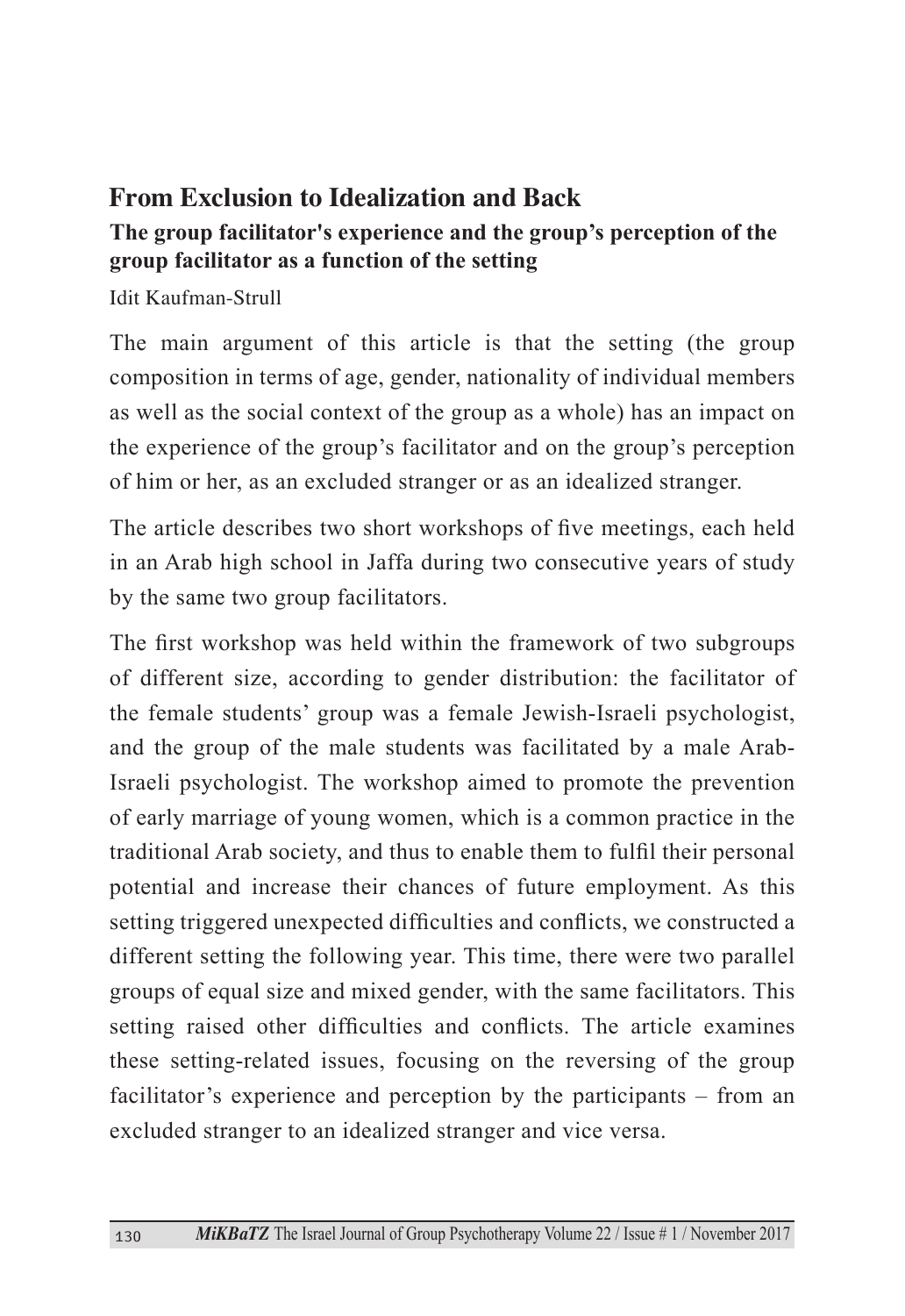### **From Exclusion to Idealization and Back**

#### The group facilitator's experience and the group's perception of the **group facilitator as a function of the setting**

Idit Kaufman-Strull

The main argument of this article is that the setting (the group composition in terms of age, gender, nationality of individual members as well as the social context of the group as a whole) has an impact on the experience of the group's facilitator and on the group's perception of him or her, as an excluded stranger or as an idealized stranger.

The article describes two short workshops of five meetings, each held in an Arab high school in Jaffa during two consecutive years of study by the same two group facilitators.

The first workshop was held within the framework of two subgroups of different size, according to gender distribution: the facilitator of the female students' group was a female Jewish-Israeli psychologist, Israeli psychologist. The workshop aimed to promote the prevention and the group of the male students was facilitated by a male Arabof early marriage of young women, which is a common practice in the traditional Arab society, and thus to enable them to fulfil their personal potential and increase their chances of future employment. As this setting triggered unexpected difficulties and conflicts, we constructed a different setting the following year. This time, there were two parallel groups of equal size and mixed gender, with the same facilitators. This setting raised other difficulties and conflicts. The article examines these setting-related issues, focusing on the reversing of the group facilitator's experience and perception by the participants  $-$  from an excluded stranger to an idealized stranger and vice versa.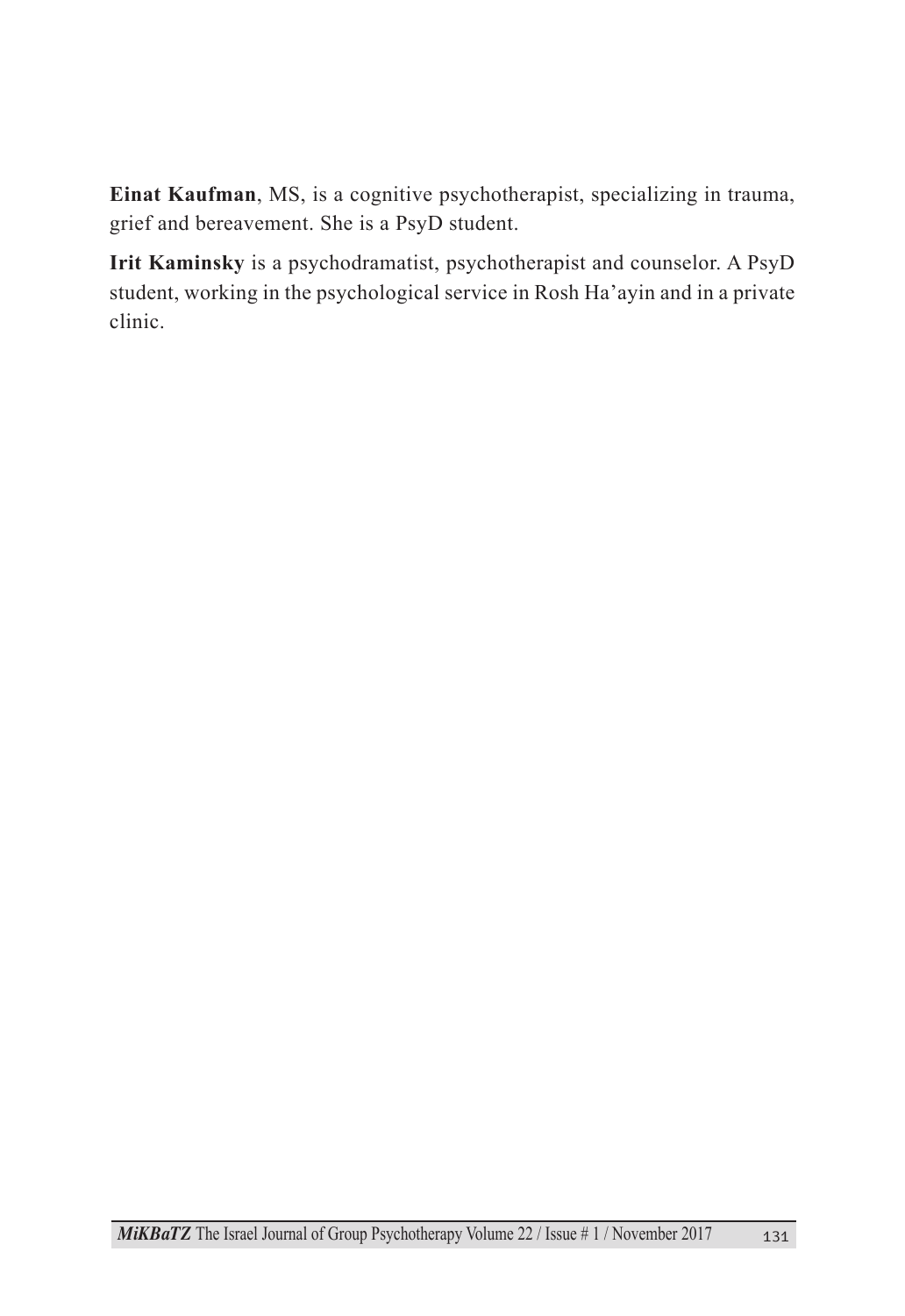Einat Kaufman, MS, is a cognitive psychotherapist, specializing in trauma, grief and bereavement. She is a PsyD student.

Irit Kaminsky is a psychodramatist, psychotherapist and counselor. A PsyD student, working in the psychological service in Rosh Ha'ayin and in a private .clinic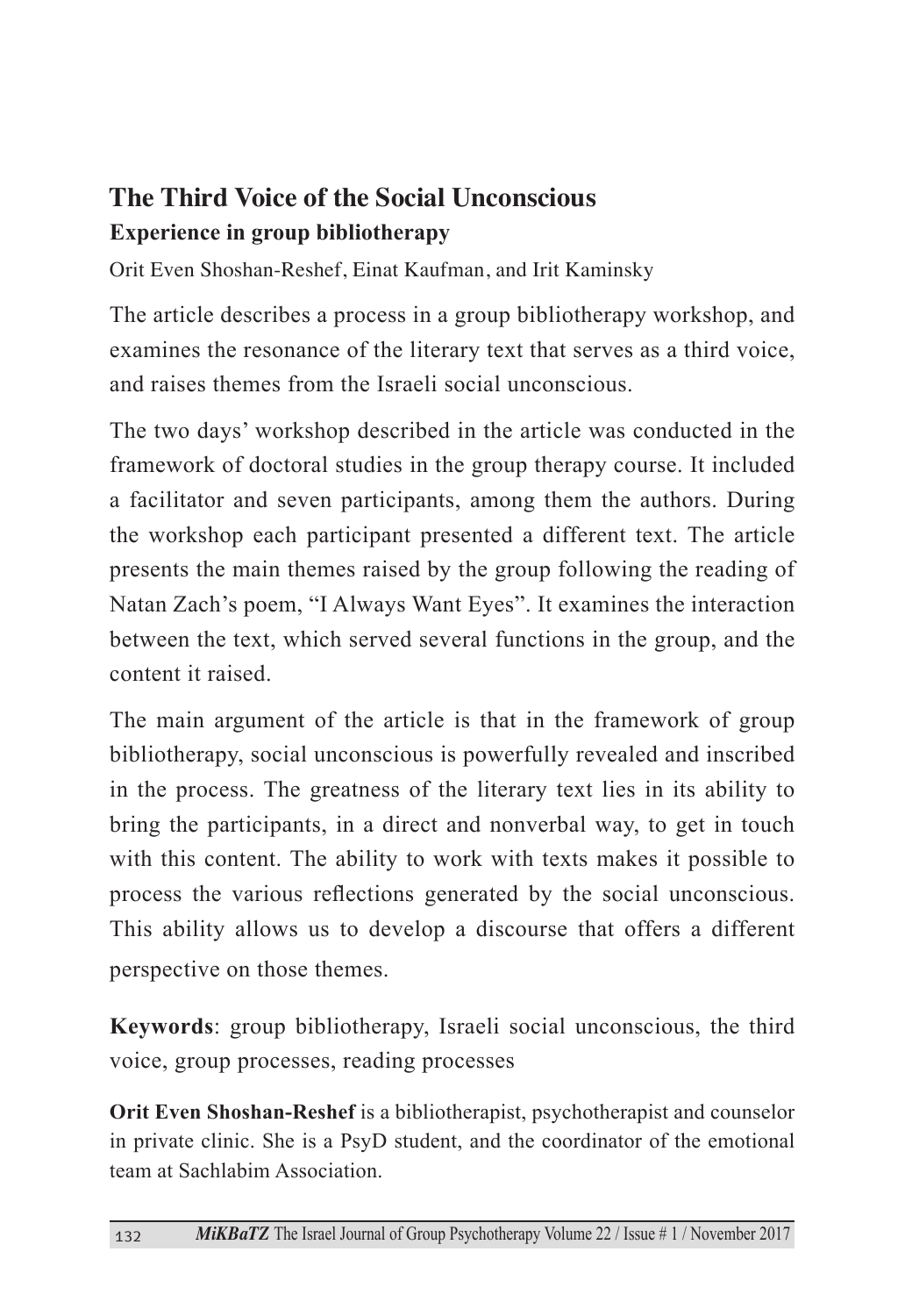## **The Third Voice of the Social Unconscious Experience in group bibliotherapy**

Orit Even Shoshan-Reshef, Einat Kaufman, and Irit Kaminsky

The article describes a process in a group bibliotherapy workshop, and examines the resonance of the literary text that serves as a third voice, and raises themes from the Israeli social unconscious

The two days' workshop described in the article was conducted in the framework of doctoral studies in the group therapy course. It included a facilitator and seven participants, among them the authors. During the workshop each participant presented a different text. The article presents the main themes raised by the group following the reading of Natan Zach's poem, "I Always Want Eyes". It examines the interaction between the text, which served several functions in the group, and the content it raised

The main argument of the article is that in the framework of group bibliotherapy, social unconscious is powerfully revealed and inscribed in the process. The greatness of the literary text lies in its ability to bring the participants, in a direct and nonverbal way, to get in touch with this content. The ability to work with texts makes it possible to process the various reflections generated by the social unconscious. This ability allows us to develop a discourse that offers a different perspective on those themes.

Keywords: group bibliotherapy, Israeli social unconscious, the third voice, group processes, reading processes

Orit Even Shoshan-Reshef is a bibliotherapist, psychotherapist and counselor in private clinic. She is a PsyD student, and the coordinator of the emotional team at Sachlabim Association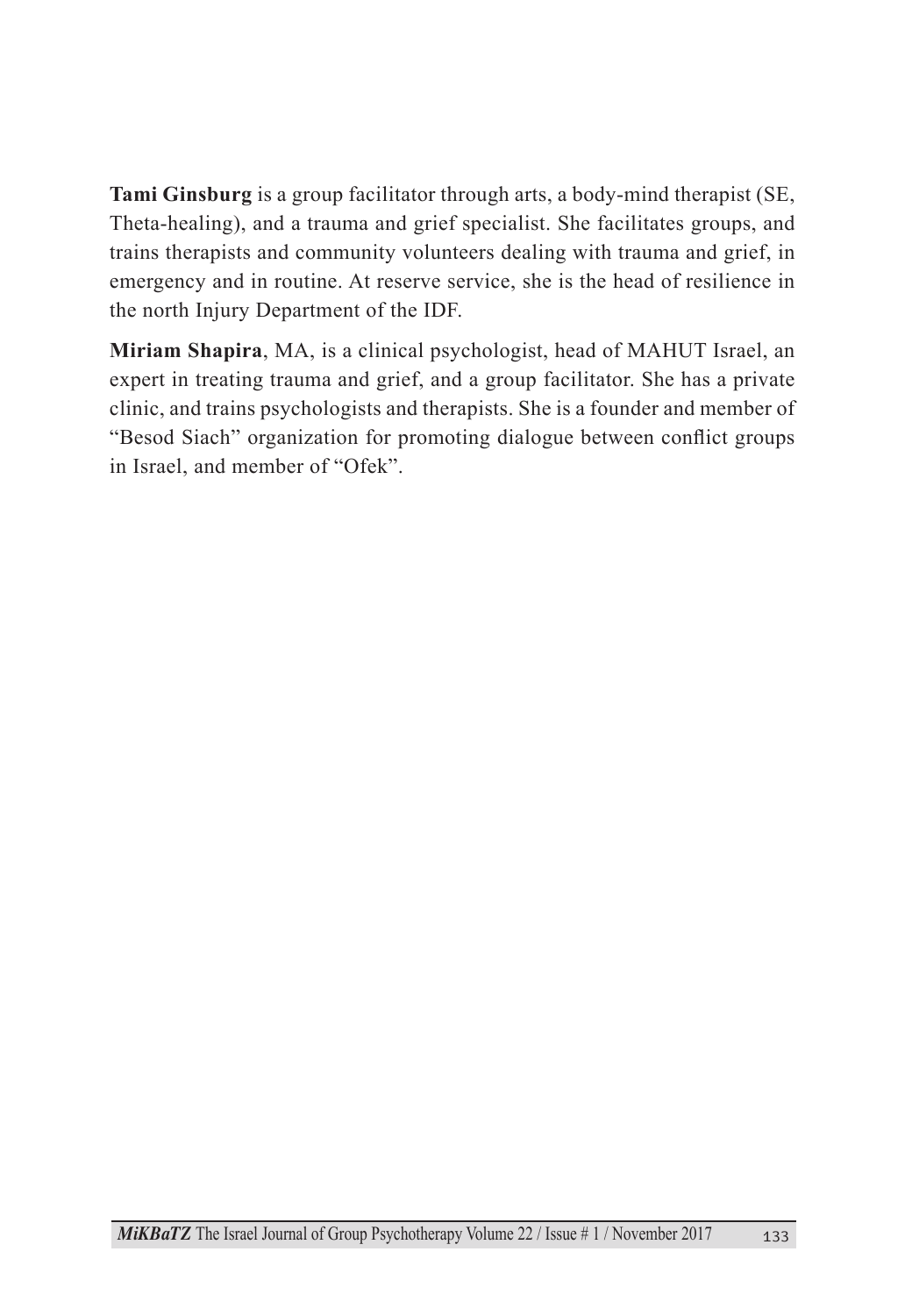Tami Ginsburg is a group facilitator through arts, a body-mind therapist (SE, Theta-healing), and a trauma and grief specialist. She facilitates groups, and trains therapists and community volunteers dealing with trauma and grief, in emergency and in routine. At reserve service, she is the head of resilience in the north Injury Department of the IDF.

Miriam Shapira, MA, is a clinical psychologist, head of MAHUT Israel, an expert in treating trauma and grief, and a group facilitator. She has a private clinic, and trains psychologists and therapists. She is a founder and member of "Besod Siach" organization for promoting dialogue between conflict groups in Israel, and member of "Ofek".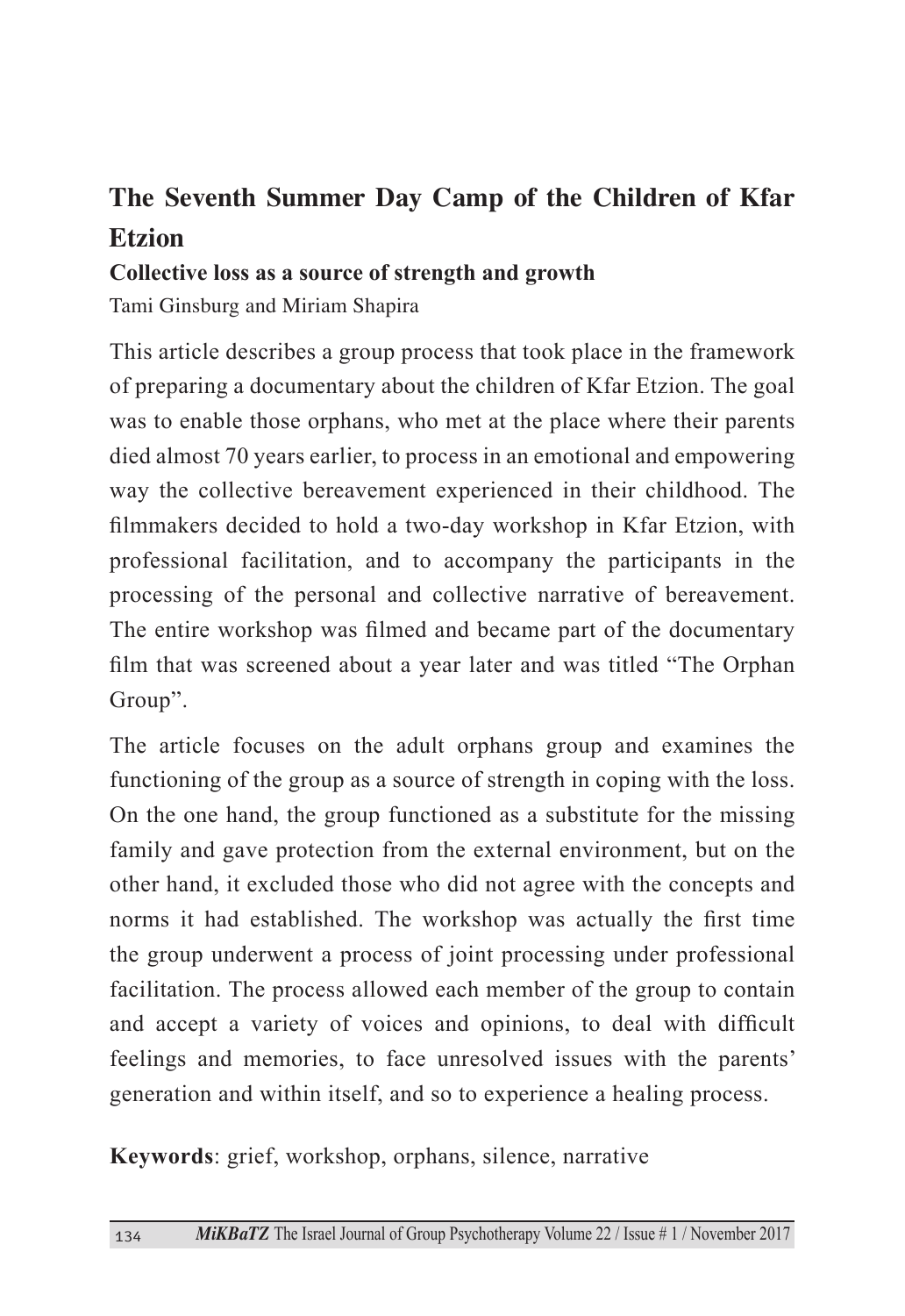# The Seventh Summer Day Camp of the Children of Kfar **Etzion**

Collective loss as a source of strength and growth

Tami Ginsburg and Miriam Shapira

This article describes a group process that took place in the framework of preparing a documentary about the children of Kfar Etzion. The goal was to enable those orphans, who met at the place where their parents died almost 70 years earlier, to process in an emotional and empowering way the collective bereavement experienced in their childhood. The filmmakers decided to hold a two-day workshop in Kfar Etzion, with professional facilitation, and to accompany the participants in the processing of the personal and collective narrative of bereavement. The entire workshop was filmed and became part of the documentary film that was screened about a year later and was titled "The Orphan" Group".

The article focuses on the adult orphans group and examines the functioning of the group as a source of strength in coping with the loss. On the one hand, the group functioned as a substitute for the missing family and gave protection from the external environment, but on the other hand, it excluded those who did not agree with the concepts and norms it had established. The workshop was actually the first time the group underwent a process of joint processing under professional facilitation. The process allowed each member of the group to contain and accept a variety of voices and opinions, to deal with difficult feelings and memories, to face unresolved issues with the parents' generation and within itself, and so to experience a healing process.

Keywords: grief, workshop, orphans, silence, narrative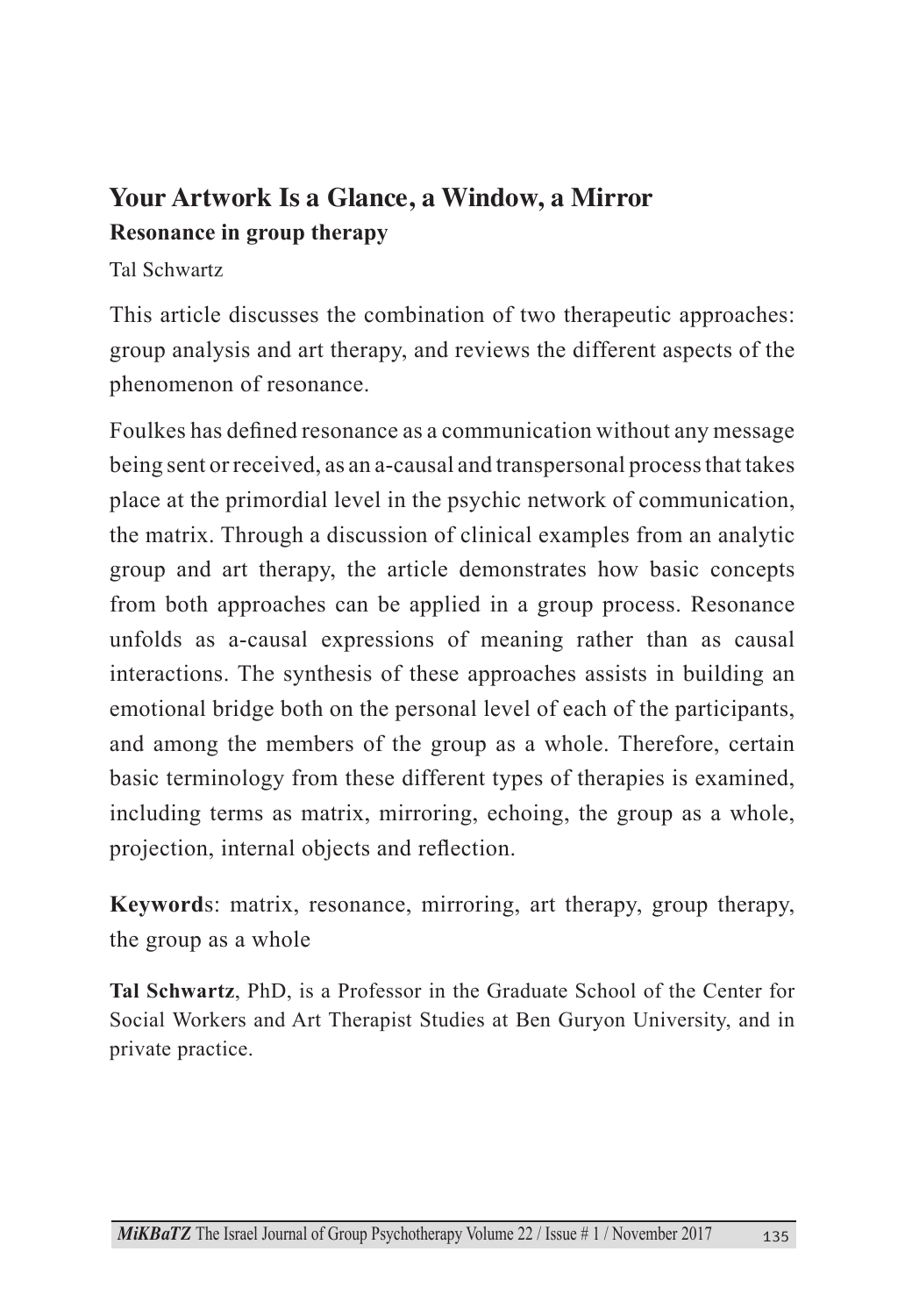## **Your Artwork Is a Glance, a Window, a Mirror Resonance in group therapy**

#### Tal Schwartz

This article discusses the combination of two the rapeutic approaches: group analysis and art therapy, and reviews the different aspects of the phenomenon of resonance.

Foulkes has defined resonance as a communication without any message being sent or received, as an a-causal and transpersonal process that takes place at the primordial level in the psychic network of communication. the matrix. Through a discussion of clinical examples from an analytic group and art therapy, the article demonstrates how basic concepts from both approaches can be applied in a group process. Resonance unfolds as a-causal expressions of meaning rather than as causal interactions. The synthesis of these approaches assists in building an emotional bridge both on the personal level of each of the participants, and among the members of the group as a whole. Therefore, certain basic terminology from these different types of therapies is examined, including terms as matrix, mirroring, echoing, the group as a whole, projection, internal objects and reflection.

Keywords: matrix, resonance, mirroring, art therapy, group therapy, the group as a whole

Tal Schwartz, PhD, is a Professor in the Graduate School of the Center for Social Workers and Art Therapist Studies at Ben Guryon University, and in private practice.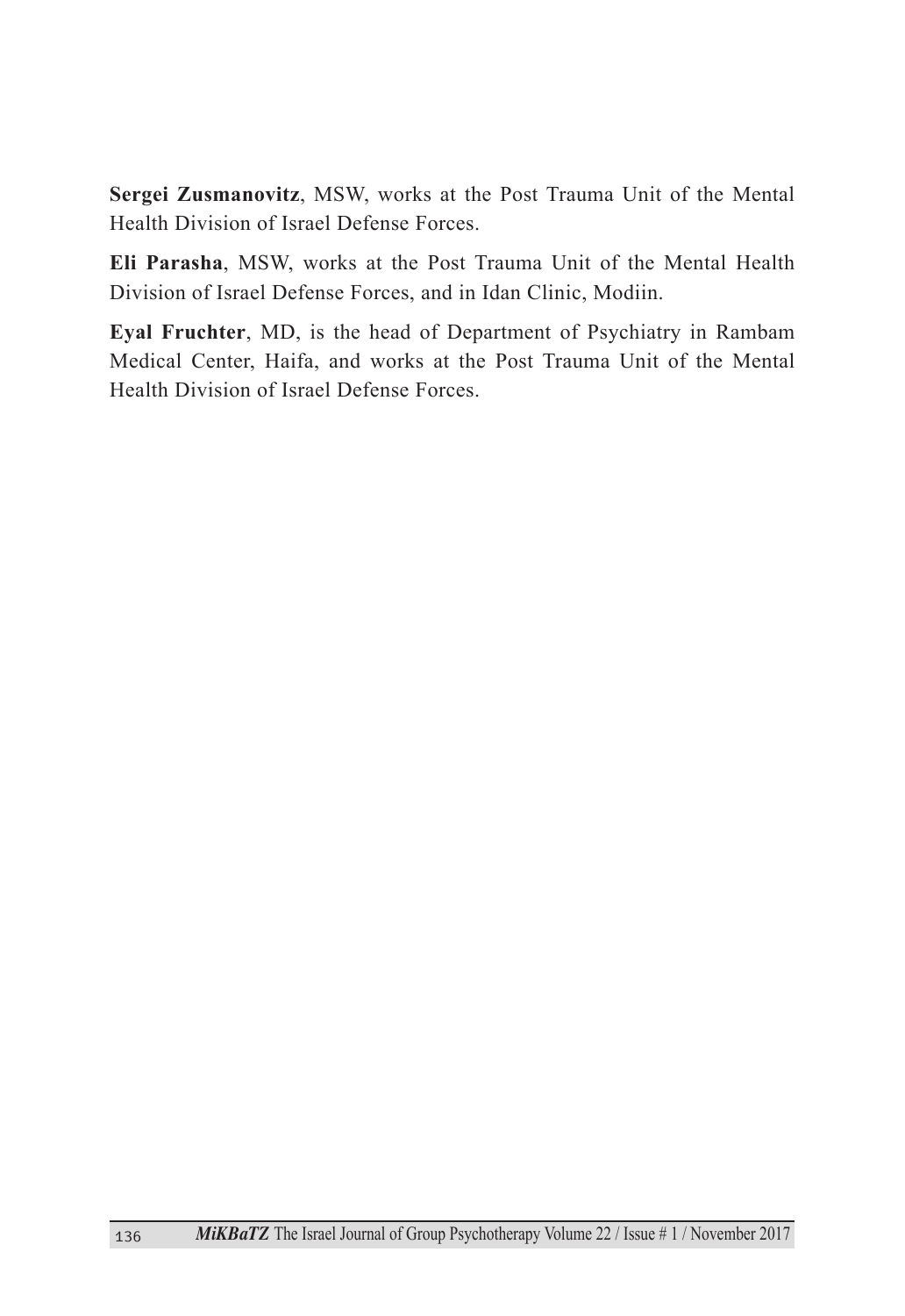Sergei Zusmanovitz, MSW, works at the Post Trauma Unit of the Mental Health Division of Israel Defense Forces

Eli Parasha, MSW, works at the Post Trauma Unit of the Mental Health Division of Israel Defense Forces, and in Idan Clinic, Modiin.

Eyal Fruchter, MD, is the head of Department of Psychiatry in Rambam Medical Center, Haifa, and works at the Post Trauma Unit of the Mental Health Division of Israel Defense Forces.